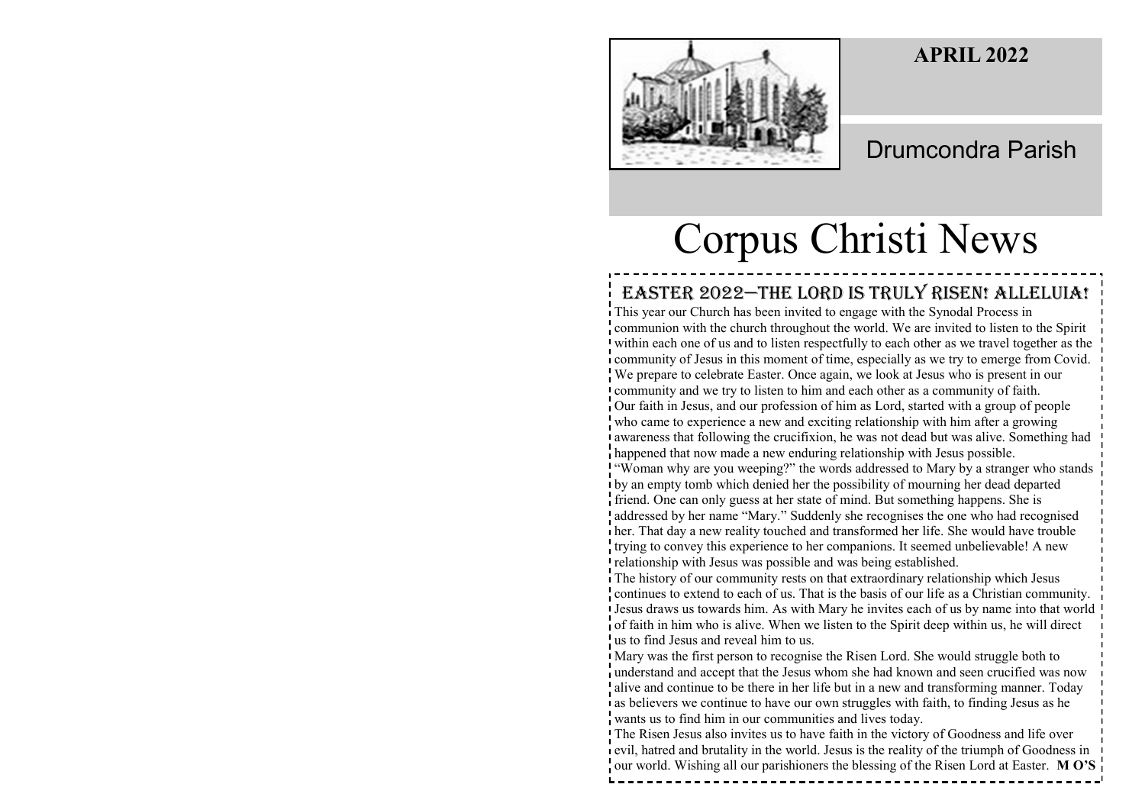## **APRIL 2022**



# Drumcondra Parish

# Corpus Christi News

## EASTER 2022-THE LORD IS TRULY RISEN! ALLELUIA!

This year our Church has been invited to engage with the Synodal Process in communion with the church throughout the world. We are invited to listen to the Spirit within each one of us and to listen respectfully to each other as we travel together as the community of Jesus in this moment of time, especially as we try to emerge from Covid. We prepare to celebrate Easter. Once again, we look at Jesus who is present in our community and we try to listen to him and each other as a community of faith. Our faith in Jesus, and our profession of him as Lord, started with a group of people who came to experience a new and exciting relationship with him after a growing awareness that following the crucifixion, he was not dead but was alive. Something had happened that now made a new enduring relationship with Jesus possible. "Woman why are you weeping?" the words addressed to Mary by a stranger who stands by an empty tomb which denied her the possibility of mourning her dead departed friend. One can only guess at her state of mind. But something happens. She is addressed by her name "Mary." Suddenly she recognises the one who had recognised her. That day a new reality touched and transformed her life. She would have trouble trying to convey this experience to her companions. It seemed unbelievable! A new relationship with Jesus was possible and was being established. The history of our community rests on that extraordinary relationship which Jesus continues to extend to each of us. That is the basis of our life as a Christian community. Jesus draws us towards him. As with Mary he invites each of us by name into that world of faith in him who is alive. When we listen to the Spirit deep within us, he will direct us to find Jesus and reveal him to us. Mary was the first person to recognise the Risen Lord. She would struggle both to understand and accept that the Jesus whom she had known and seen crucified was now dive and continue to be there in her life but in a new and transforming manner. Today as believers we continue to have our own struggles with faith, to finding Jesus as he

wants us to find him in our communities and lives today.

The Risen Jesus also invites us to have faith in the victory of Goodness and life over evil, hatred and brutality in the world. Jesus is the reality of the triumph of Goodness in our world. Wishing all our parishioners the blessing of the Risen Lord at Easter. **M O'S**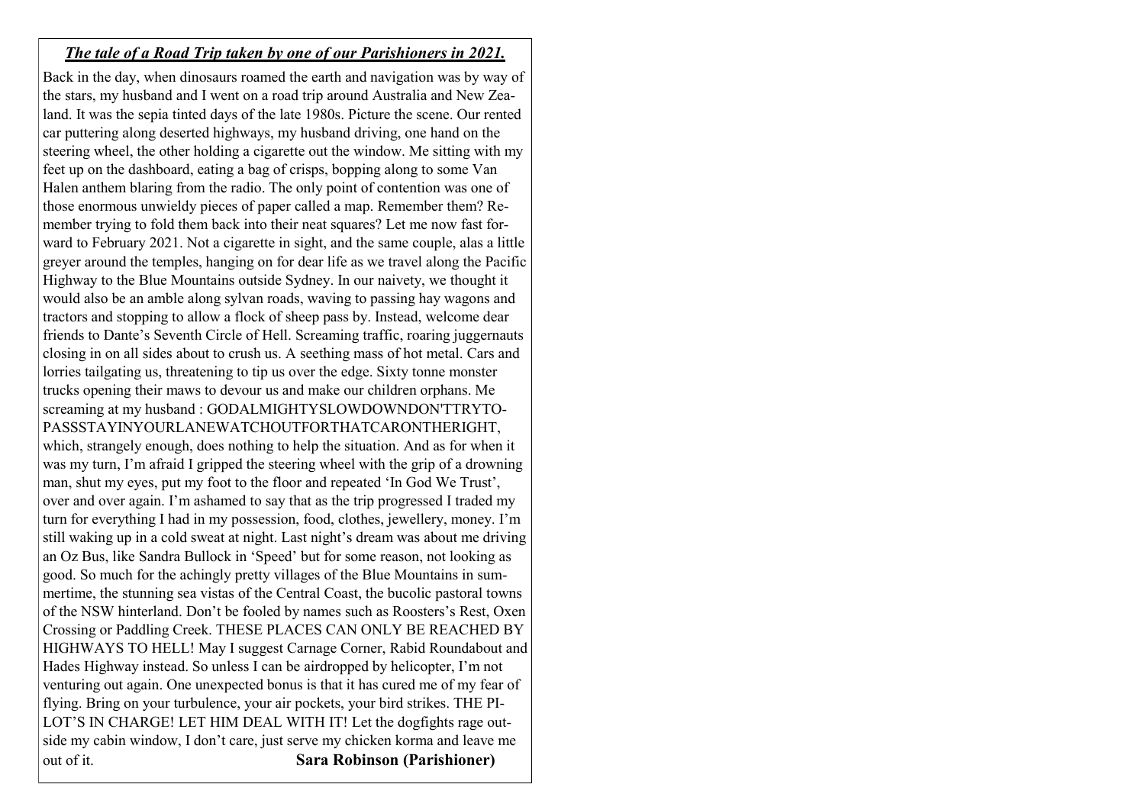#### *The tale of a Road Trip taken by one of our Parishioners in 2021.*

Back in the day, when dinosaurs roamed the earth and navigation was by way of the stars, my husband and I went on a road trip around Australia and New Zealand. It was the sepia tinted days of the late 1980s. Picture the scene. Our rented car puttering along deserted highways, my husband driving, one hand on the steering wheel, the other holding a cigarette out the window. Me sitting with my feet up on the dashboard, eating a bag of crisps, bopping along to some Van Halen anthem blaring from the radio. The only point of contention was one of those enormous unwieldy pieces of paper called a map. Remember them? Remember trying to fold them back into their neat squares? Let me now fast forward to February 2021. Not a cigarette in sight, and the same couple, alas a little greyer around the temples, hanging on for dear life as we travel along the Pacific Highway to the Blue Mountains outside Sydney. In our naivety, we thought it would also be an amble along sylvan roads, waving to passing hay wagons and tractors and stopping to allow a flock of sheep pass by. Instead, welcome dear friends to Dante's Seventh Circle of Hell. Screaming traffic, roaring juggernauts closing in on all sides about to crush us. A seething mass of hot metal. Cars and lorries tailgating us, threatening to tip us over the edge. Sixty tonne monster trucks opening their maws to devour us and make our children orphans. Me screaming at my husband : GODALMIGHTYSLOWDOWNDON'TTRYTO-PASSSTAYINYOURLANEWATCHOUTFORTHATCARONTHERIGHT, which, strangely enough, does nothing to help the situation. And as for when it was my turn, I'm afraid I gripped the steering wheel with the grip of a drowning man, shut my eyes, put my foot to the floor and repeated 'In God We Trust', over and over again. I'm ashamed to say that as the trip progressed I traded my turn for everything I had in my possession, food, clothes, jewellery, money. I'm still waking up in a cold sweat at night. Last night's dream was about me driving an Oz Bus, like Sandra Bullock in 'Speed' but for some reason, not looking as good. So much for the achingly pretty villages of the Blue Mountains in summertime, the stunning sea vistas of the Central Coast, the bucolic pastoral towns of the NSW hinterland. Don't be fooled by names such as Roosters's Rest, Oxen Crossing or Paddling Creek. THESE PLACES CAN ONLY BE REACHED BY HIGHWAYS TO HELL! May I suggest Carnage Corner, Rabid Roundabout and Hades Highway instead. So unless I can be airdropped by helicopter, I'm not venturing out again. One unexpected bonus is that it has cured me of my fear of flying. Bring on your turbulence, your air pockets, your bird strikes. THE PI-LOT'S IN CHARGE! LET HIM DEAL WITH IT! Let the dogfights rage outside my cabin window, I don't care, just serve my chicken korma and leave me out of it. **Sara Robinson (Parishioner)**